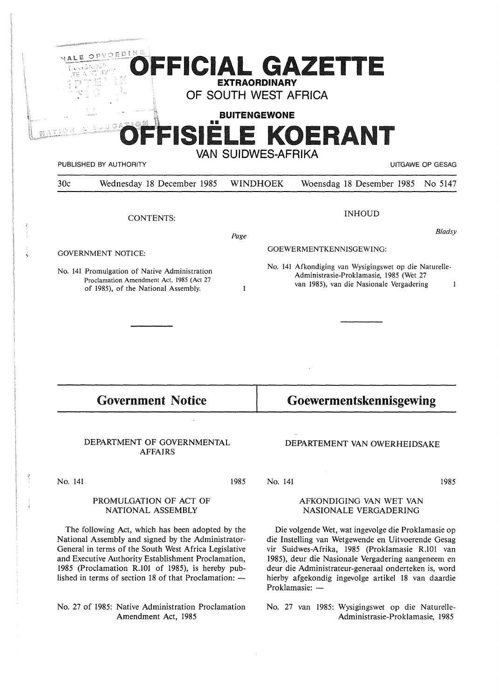|                                              | OEDING                                                                                                                           | <b>EXTRAORDINARY</b><br>OF SOUTH WEST AFRICA<br><b>BUITENGEWONE</b><br><b>VAN SUIDWES-AFRIKA</b> |                                                                                                                                                    | OFFICIAL GAZETTE<br>FFISIELE KOERANT |                             |  |
|----------------------------------------------|----------------------------------------------------------------------------------------------------------------------------------|--------------------------------------------------------------------------------------------------|----------------------------------------------------------------------------------------------------------------------------------------------------|--------------------------------------|-----------------------------|--|
| 30c                                          | PUBLISHED BY AUTHORITY<br>Wednesday 18 December 1985                                                                             |                                                                                                  | <b>WINDHOEK</b>                                                                                                                                    | Woensdag 18 Desember 1985            | UITGAWE OP GESAG<br>No 5147 |  |
|                                              |                                                                                                                                  |                                                                                                  |                                                                                                                                                    |                                      |                             |  |
| <b>CONTENTS:</b>                             |                                                                                                                                  |                                                                                                  | <b>INHOUD</b>                                                                                                                                      |                                      |                             |  |
|                                              |                                                                                                                                  | Page                                                                                             |                                                                                                                                                    |                                      | Bladsy                      |  |
| <b>GOVERNMENT NOTICE:</b>                    |                                                                                                                                  |                                                                                                  | GOEWERMENTKENNISGEWING:                                                                                                                            |                                      |                             |  |
|                                              | No. 141 Promulgation of Native Administration<br>Proclamation Amendment Act, 1985 (Act 27<br>of 1985), of the National Assembly. | 1                                                                                                | No. 141 Afkondiging van Wysigingswet op die Naturelle-<br>Administrasie-Proklamasie, 1985 (Wet 27<br>van 1985), van die Nasionale Vergadering<br>1 |                                      |                             |  |
|                                              |                                                                                                                                  |                                                                                                  |                                                                                                                                                    |                                      |                             |  |
|                                              |                                                                                                                                  |                                                                                                  |                                                                                                                                                    |                                      |                             |  |
|                                              | <b>Government Notice</b>                                                                                                         |                                                                                                  |                                                                                                                                                    | Goewermentskennisgewing              |                             |  |
| DEPARTMENT OF GOVERNMENTAL<br><b>AFFAIRS</b> |                                                                                                                                  |                                                                                                  | DEPARTEMENT VAN OWERHEIDSAKE                                                                                                                       |                                      |                             |  |
| No. 141                                      |                                                                                                                                  | 1985                                                                                             | No. 141                                                                                                                                            |                                      | 1985                        |  |
| PROMULGATION OF ACT OF<br>NATIONAL ASSEMBLY  |                                                                                                                                  |                                                                                                  | AFKONDIGING VAN WET VAN<br>NASIONALE VERGADERING                                                                                                   |                                      |                             |  |

The following Act, which has been adopted by the National Assembly and signed by the Administrator-General in terms of the South West Africa Legislative and Executive Authority Establishment Proclamation, 1985 (Proclamation R.101 of 1985), is hereby published in terms of section 18 of that Proclamation:  $-$ 

# No. 27 of 1985: Native Administration Proclamation Amendment Act, 1985

Die volgende Wet, wat ingevolge die Proklamasie op die Instelling van Wetgewende en Uitvoerende Gesag vir Suidwes-Afrika, 1985 (Proklamasie R.101 van 1985), deur die Nasionale Vergadering aangeneem en deur die Administrateur-generaal onderteken is, word hierby afgekondig ingevolge artikel 18 van daardie Proklamasie: -

No. 27 van 1985: Wysigingswet op die Naturelle-Administrasie-Proklamasie, 1985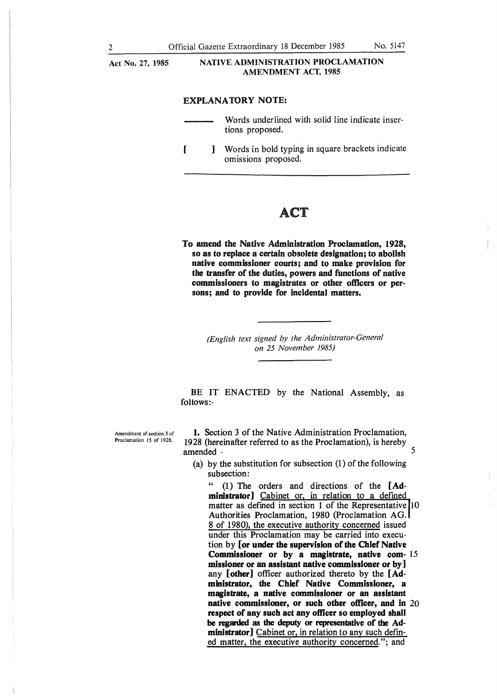**Act No. 27, 1985** 

### **NATIVE ADMINISTRATION PROCLAMATION AMENDMENT ACT, 1985**

## **EXPLANATORY NOTE:**

- Words underlined with solid line indicate insertions proposed.
- [ ] Words in bold typing in square brackets indicate omissions proposed.

# ACT

**To amend the Native Administration Proclamation, 1928, so as to replace a certain obsolete designation; to abolish native commissioner courts; and to make provision for the transfer of the duties, powers and functions of native commissioners to magistrates or other officers or persons; and to provide for incidental matters.** 

> *(English text signed by the Administrator-General on 25 November 1985)*

BE IT ENACTED by the National Assembly, as follows:-

Amendment of section 3 of Proclamation 15 of 1928.

**1.** Section 3 of the Native Administration Proclamation, 1928 (hereinafter referred to as the Proclamation), is hereby amended - 5

(a) by the substitution for subsection (1) of the following subsection:

" (1) The orders and directions of the **[Administrator]** Cabinet or, in relation to a defined matter as defined in section 1 of the Representative 10 Authorities Proclamation, 1980 (Proclamation AG. 8 of 1980), the executive authority concerned issued under this Proclamation may be carried into execution by **[or under the supervision of the Chief Native Commissioner or by a magistrate, native com-** 15 **missioner or an assistant native commissioner or by]**  any **[other]** officer authorized thereto by the **[Administrator, the Chief Native Commissioner, a magistrate, a native commissioner or an assistant native commissioner, or such other officer, and in** 20 **respect of any such act any officer so employed shall be regarded as the deputy or representative of the Administrator]** Cabinet or, in relation to any such defined matter, the executive authority concerned."; and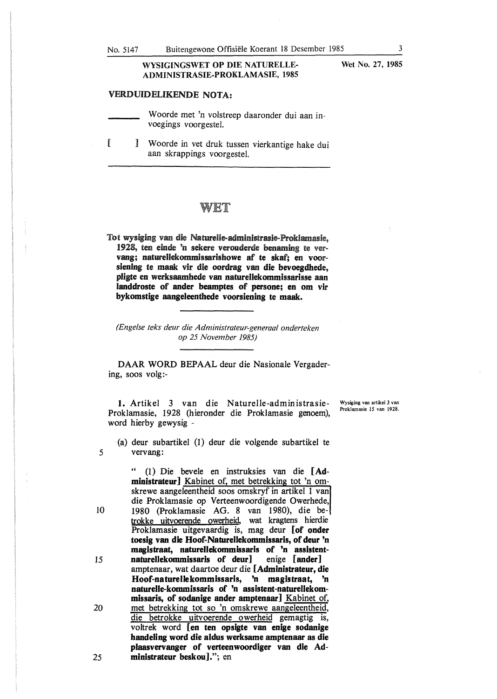## **WYSIGINGSWET OP DIE NATURELLE-ADMINISTRASIE-PROKLAMASIE, 1985**

## **VERDUIDELIKENDE NOTA:**

Woorde met 'n volstreep daaronder dui aan invoegings voorgestel.

[ ] Woorde in vet druk tussen vierkantige hake dui aan skrappings voorgestel.

# 'N I

Tot wysiging van die Naturelle-administrasie-Proklamasie, 1928, ten einde 'n sekere verouderde benaming te vervang; naturellekommissarishowe af te skaf; en voorsiening te maak vir die oordrag van die bevoegdhede, **pligte en werksaamhede van naturellekommissarisse aan landdroste of ander beamptes of persone; en om vir bykomstige aangeleenthede voorsiening te maak.** 

*{Engelse teks deur die Administrateur-generaal onderteken op 25 November 1985)* 

**DAAR WORD** BEPAAL deur die Nasionale Vergadering, soos volg:-

**1.** Artikel 3 van die Naturelle-administrasie-Proklamasie, 1928 (hieronder die Proklamasie genoem), word hierby gewysig -

Wysiging van artikel 3 van Proklamasie 15 van 1928.

(a) deur subartikel (1) deur die volgende subartikel te vervang:

" (1) Die bevele en instruksies van die **[Administrateur]** Kabinet of, met betrekking tot 'n omskrewe aangeleentheid soos omskryf in artikel 1 van die Proklamasie op Verteenwoordigende Owerhede, 1980 (Proklamasie AG. 8 van 1980), die betrokke uitvoerende owerheid wat kragtens hierdie Proklamasie uitgevaardig is, mag deur **[of onder toesig van die Hoof-Naturellekommissaris, of deur 'n magistraat, naturellekommissaris of 'n assistent** $natural$  **ekommissaris** of **deur**] amptenaar, wat daartoe deur die **[Administrateur, die Hoof-natureliekommissaris, 'n magistraat, 'n naturelle-kommissaris of 'n assistent-naturellekommissaris, of sodanige ander amptenaar]** Kabinet of, met betrekking tot so 'n omskrewe aangeleentheid, die betrokke uitvoerende owerheid gemagtig is, voltrek word **[en ten opsigte van enige sodanige handeling word die aldus werksame amptenaar as die plaasvervanger of verteenwoordiger van die Administrateur beskou].";** en

**Wet No. 27, 1985** 

25

*5* 

IO

15

20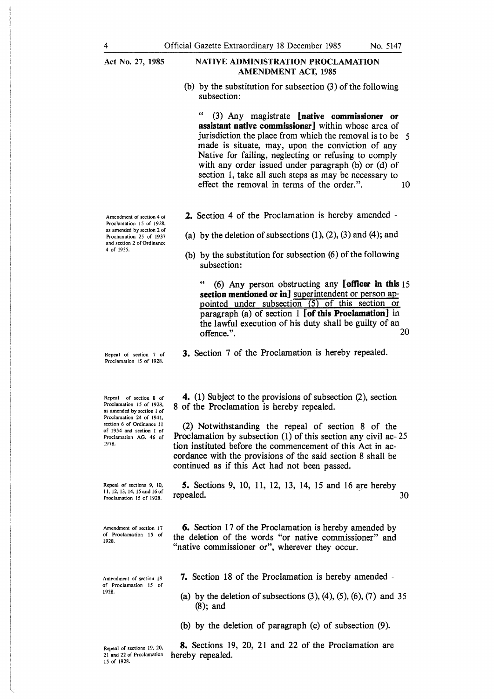**Act No.** 27, **1985** 

### **NATIVE ADMINISTRATION PROCLAMATION AMENDMENT ACT, 1985**

(b) by the substitution for subsection (3) of the following subsection:

" (3) Any magistrate **[native commissioner or assistant native commissioner]** within whose area of jurisdiction the place from which the removal is to be 5 made is situate, may, upon the conviction of any Native for failing, neglecting or refusing to comply with any order issued under paragraph (b) or (d) of section 1, take all such steps as may be necessary to effect the removal in terms of the order.". 10

- **2.** Section 4 of the Proclamation is hereby amended -
- (a) by the deletion of subsections  $(1)$ ,  $(2)$ ,  $(3)$  and  $(4)$ ; and
- (b) by the substitution for subsection (6) of the following subsection:

" (6) Any person obstructing any **[officer in this** 15 section mentioned or in] superintendent or person appointed under subsection  $(5)$  of this section or paragraph (a) of section 1 **[of this Proclamation]** in the lawful execution of his duty shall be guilty of an offence." offence.".

**3.** Section 7 of the Proclamation is hereby repealed.

Repeal of section 8 of Proclamation 15 of 1928, as amended by section I of Proclamation 24 of 1941, section 6 of Ordinance 11 of I 954 and section 1 of Proclamation AG. 46 of 1978.

Repeal of section 7 of Proclamation 15 of 1928.

Repeal of sections 9, IO, II, 12, 13, 14, !5and !6of Proclamation 15 of 1928.

Amendment of section 17 of Proclamation 15 of 1928.

Amendment of section 18 of Proclamation 15 of 1928.

Repeal of sections 19, 20, 21 and 22 of Proclamation 15 of 1928.

**4.** (1) Subject to the provisions of subsection (2), section 8 of the Proclamation is hereby repealed.

(2) Notwithstanding the repeal of section 8 of the Proclamation by subsection (1) of this section any civil ac- 25 tion instituted before the commencement of this Act in accordance with the provisions of the said section 8 shall be continued as if this Act had not been passed.

*5.* Sections 9, 10, 11, 12, 13, 14, 15 and 16 are hereby repealed.  $30$ 

**6.** Section 17 of the Proclamation is hereby amended by the deletion of the words "or native commissioner" and "native commissioner or", wherever they occur.

7. Section 18 of the Proclamation is hereby amended -

(a) by the deletion of subsections  $(3)$ ,  $(4)$ ,  $(5)$ ,  $(6)$ ,  $(7)$  and 35 (8); and

(b) by the deletion of paragraph (c) of subsection (9).

**8.** Sections 19, 20, 21 and 22 of the Proclamation are hereby repealed.

Amendment of section 4 of Proclamation 15 of 1928, as amended by section 2 of Proclamation 25 of 1937 and section 2 of Ordinance 4 of 1955.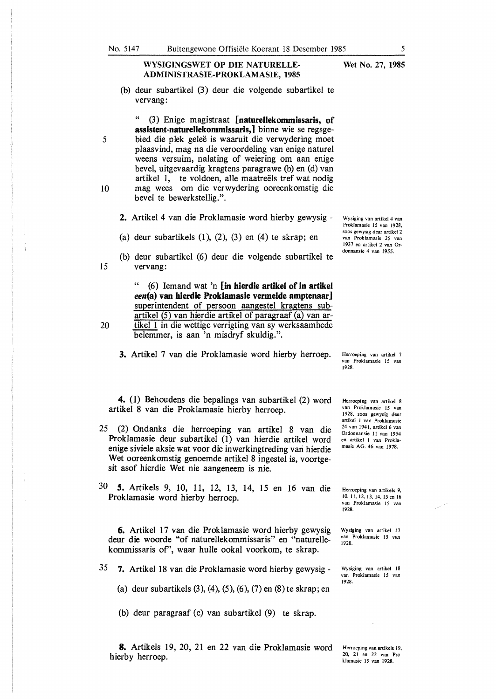## **WYSIGINGSWET OP DIE NATURELLE-ADMINISTRASIE-PROKLAMASIE, 1985**

(b) deur subartikel (3) deur die volgende subartikel te vervang:

" (3) En ige magistraat **[naturellekommissaris, of assistent-natureHekommissaris,]** binne wie se regsge-5 bied die plek geleë is waaruit die verwydering moet plaasvind, mag na die veroordeling van enige nature} weens versuim, nalating of weiering om aan enige bevel, uitgevaardig kragtens paragrawe (b) en (d) van artikel 1, te voldoen, alle maatreels tref wat nodig IO mag wees om die verwydering ooreenkomstig die bevel te bewerkstellig.".

- **2.** Artikel 4 van die Proklamasie word hierby gewysig -
- (a) deur subartikels  $(1)$ ,  $(2)$ ,  $(3)$  en  $(4)$  te skrap; en
- (b) deur subartikel (6) deur die volgende subartikel te 15 vervang:

" (6) Iemand wat 'n **[in hierdie artikel of in artikel een(a) van hierdie Proklamasie vermelde amptenaar]**  superintendent of persoon aangestel kragtens subartikel (5) van hierdie artikel of paragraaf (a) van ar-

- 
- 20 tikel 1 in die wettige verrigting van sy werksaamhede belemmer, is aan 'n misdryf skuldig.".
	- **3.** Artikel 7 van die Proklamasie word hierby herroep.

**4.** (1) Behoudens die bepalings van subartikel (2) word artikel 8 van die Proklamasie hierby herroep.

- 25 (2) Ondanks die herroeping van artikel 8 van die Proklamasie deur subartikel (1) van hierdie artikel word enige siviele aksie wat voor die inwerkingtreding vari hierdie Wet ooreenkomstig genoemde artikel 8 ingestel is, voortgesit asof hierdie Wet nie aangeneem is nie.
- 30 *S.* Artikels 9, 10, 11, 12, 13, 14, 15 en 16 van die Proklamasie word hierby herroep.

**6.** Artikel 17 van die Proklamasie word hierby gewysig deur die woorde "of naturellekommissaris" en "naturellekommissaris of', waar hulle ookal voorkom, te skrap.

- 35 **7.** Artikel 18 van die Proklamasie word hierby gewysig
	- (a) deur subartikels (3), (4), (5), (6), (7) en (8) te skrap; en
	- (b) deur paragraaf (c) van subartikel (9) te skrap.

**8.** Artikels 19, 20, 21 en 22 van die Proklamasie word hierby herroep.

Wysiging van artikel 4 van Proklamasie 15 van 1928, soos gewysig deur artikel 2 van Proklamasie 25 van 1937 en artikel 2 van Ordonnansie 4 van 1955.

Herroeping van artikel 7 van Proklamasie 15 van 1928.

Herroeping van artikel 8 van Proklamasie 15 van 1928, soos gewysig deur artikel I van Proklamasie 24 van 1941, artikel 6 van Ordonnansie 11 van 1954 en artikel I van Proklamasie AG. 46 van 1978.

Herroeping van artikels 9, 10, 11, 12, 13, 14, 15 en 16 van Proklamasie 15 van 1928.

Wysiging van artikel 17 van Proklamasie 15 van 1928.

Wysiging van artikel 18 van Proklamasie I *5* van 1928.

Herroeping van artikels 19, 20, 21 en 22 van Proklamasie 15 van 1928.

**Wet No. 27, 1985**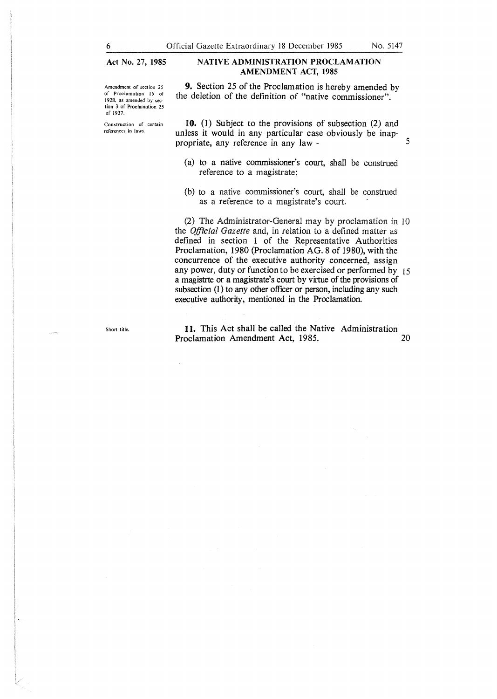**Act No.** 27, **1985** 

Construction of certain references in laws.

## **NATIVE ADMINISTRATION PROCLAMATION AMENDMENT ACT, 1985**

Amendment of section 25 of Proclamation 15 of 1928, as amended by section 3 of Proclamation 25 9. Section 25 of the Proclamation is hereby amended by the deletion of the definition of "native commissioner".

> 10. (1) Subject to the provisions of subsection (2) and unless it would in any particular case obviously be inappropriate, any reference in any law - 5

- ( a) to a native commissioner's court, shall be construed reference to a magistrate;
- (b) to a native commissioner's court, shall be construed as a reference to a magistrate's court.

(2) The Administrator-General may by proclamation in 10 the *Official Gazette* and, in relation to a defined matter as defined in section 1 of the Representative Authorities Proclamation, 1980 (Proclamation AG. 8 of 1980), with the concurrence of the executive authority concerned, assign any power, duty or function to be exercised or performed by 15 a magistrte or a magistrate's court by virtue of the provisions of subsection (1) to any other officer or person, including any such executive authority, mentioned in the Proclamation.

Short title.

**It.** This Act shall be called the Native Administration Proclamation Amendment Act, 1985. 20

6

of 1937.